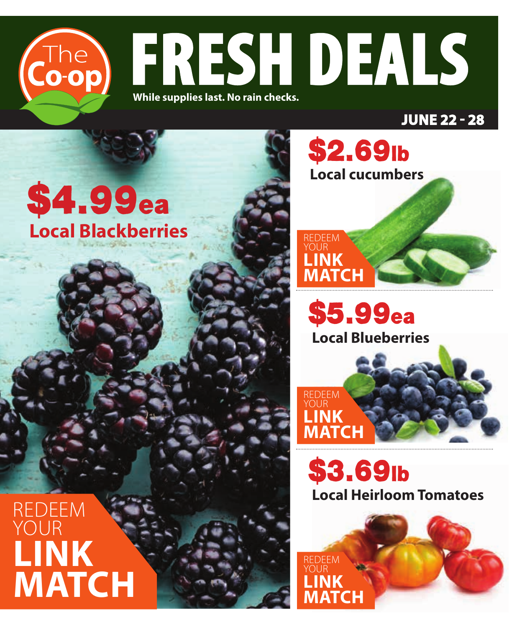

**JUNE 22 - 28**

# \$4.99ea **Local Blackberries**



**Local Blueberries**  \$5.99ea

\$2.69lb



**Local Heirloom Tomatoes**  \$3.69lb



REDEEM YOUR **LINK MATCH**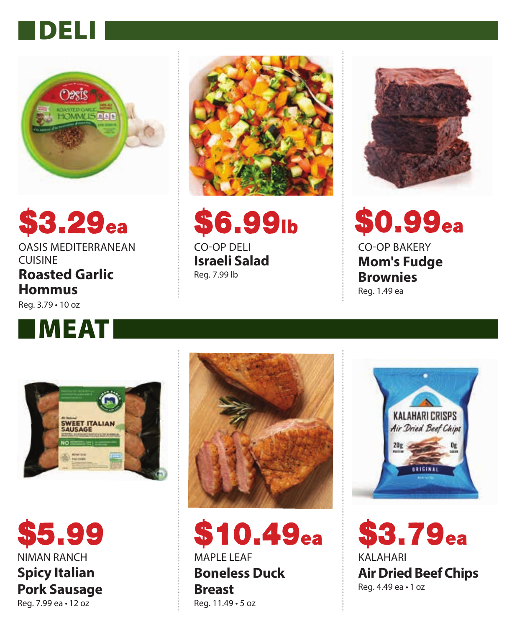## DELI



# $$3.29_{\rm{ea}} \qquad $6.99_{\rm{lb}} \qquad $0.99_{\rm{ea}}$

### OASIS MEDITERRANEAN CUISINE **Roasted Garlic**

**Hommus** Reg. 3.79 • 10 oz





\$6.99lb CO-OP DELI

**Israeli Salad** Reg. 7.99 lb



CO-OP BAKERY **Mom's Fudge Brownies**

Reg. 1.49 ea



NIMAN RANCH **Spicy Italian Pork Sausage**  Reg. 7.99 ea • 12 oz \$5.99



MAPLE LEAF **Boneless Duck Breast** Reg. 11.49 • 5 oz  $$10.49_{\mathrm{ea}}$ 



KALAHARI **Air Dried Beef Chips** Reg. 4.49 ea • 1 oz \$3.79ea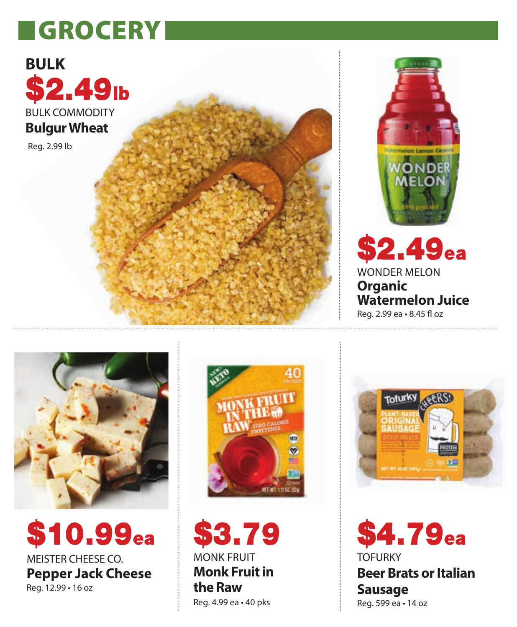## **GROCERY**



**Bulgur Wheat**

Reg. 2.99 lb



WONDER MELON

**Watermelon Juice** Reg. 2.99 ea · 8.45 fl oz

 $\boldsymbol{52.49_\text{ea}}$ 

**Organic** 



MEISTER CHEESE CO. **Pepper Jack Cheese** Reg. 12.99 • 16 oz \$10.99ea



MONK FRUIT **Monk Fruit in the Raw** Reg. 4.99 ea • 40 pks \$3.79



**TOFURKY Beer Brats or Italian Sausage** Reg. 599 ea • 14 oz \$4.79ea